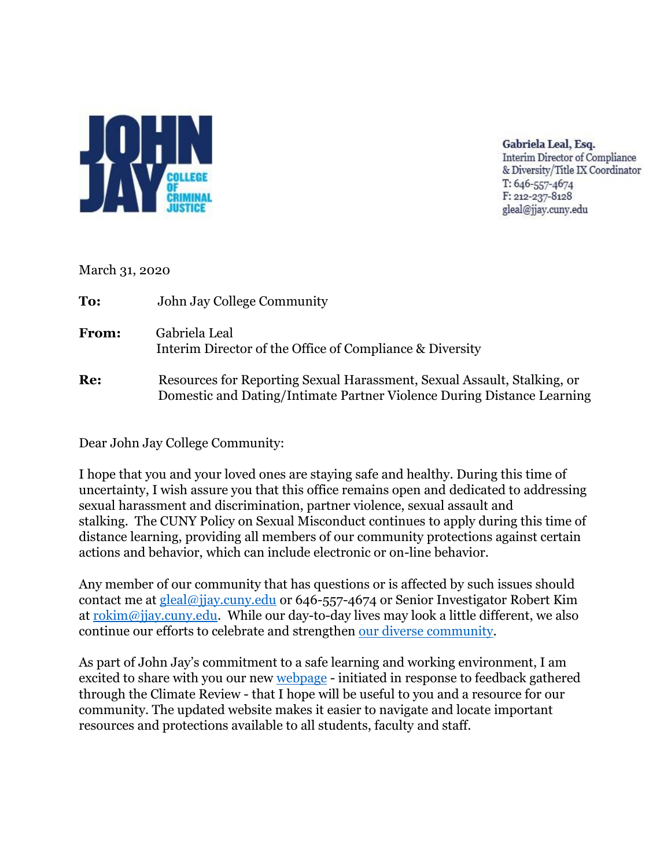

Gabriela Leal, Esq. **Interim Director of Compliance** & Diversity/Title IX Coordinator T: 646-557-4674 F: 212-237-8128 gleal@jjay.cuny.edu

March 31, 2020

**To:** John Jay College Community **From:** Gabriela Leal Interim Director of the Office of Compliance & Diversity **Re:** Resources for Reporting Sexual Harassment, Sexual Assault, Stalking, or Domestic and Dating/Intimate Partner Violence During Distance Learning

Dear John Jay College Community:

I hope that you and your loved ones are staying safe and healthy. During this time of uncertainty, I wish assure you that this office remains open and dedicated to addressing sexual harassment and discrimination, partner violence, sexual assault and stalking. The CUNY Policy on Sexual Misconduct continues to apply during this time of distance learning, providing all members of our community protections against certain actions and behavior, which can include electronic or on-line behavior.

Any member of our community that has questions or is affected by such issues should contact me at [gleal@jjay.cuny.edu](mailto:gleal@jjay.cuny.edu) or 646-557-4674 or Senior Investigator Robert Kim at [rokim@jjay.cuny.edu.](mailto:rokim@jjay.cuny.edu) While our day-to-day lives may look a little different, we also continue our efforts to celebrate and strengthen [our diverse community.](https://www.jjay.cuny.edu/sites/default/files/President/Biannual_reaffirmation_February_20.pdf)

As part of John Jay's commitment to a safe learning and working environment, I am excited to share with you our new [webpage](http://www.jjay.cuny.edu/preventing-harassment-and-discrimination-fostering-diversity-and-inclusion) - initiated in response to feedback gathered through the Climate Review - that I hope will be useful to you and a resource for our community. The updated website makes it easier to navigate and locate important resources and protections available to all students, faculty and staff.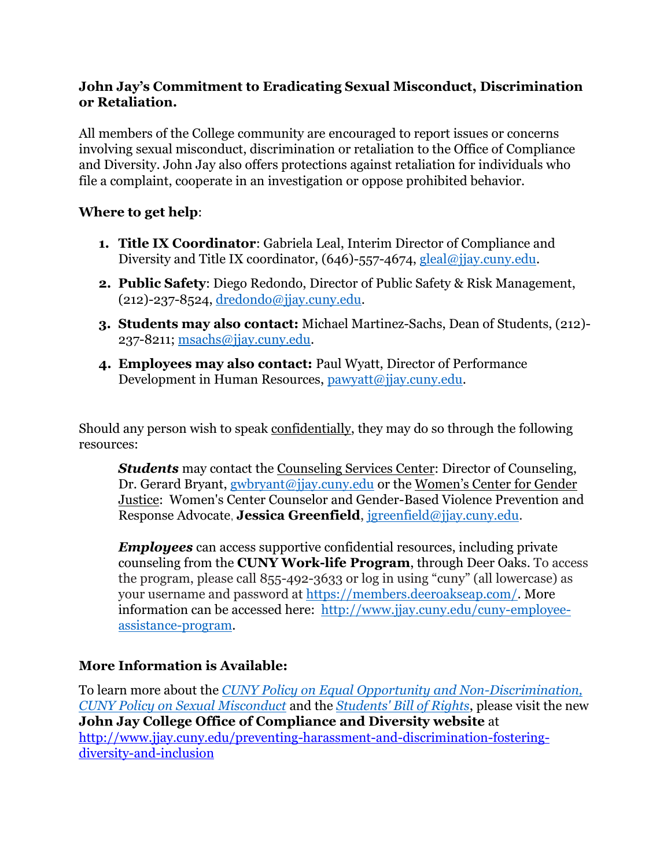## **John Jay's Commitment to Eradicating Sexual Misconduct, Discrimination or Retaliation.**

All members of the College community are encouraged to report issues or concerns involving sexual misconduct, discrimination or retaliation to the Office of Compliance and Diversity. John Jay also offers protections against retaliation for individuals who file a complaint, cooperate in an investigation or oppose prohibited behavior.

## **Where to get help**:

- **1. Title IX Coordinator**: Gabriela Leal, Interim Director of Compliance and Diversity and Title IX coordinator, (646)-557-4674, [gleal@jjay.cuny.edu.](mailto:gleal@jjay.cuny.edu)
- **2. Public Safety**: Diego Redondo, Director of Public Safety & Risk Management,  $(212)-237-8524$ , [dredondo@jjay.cuny.edu.](mailto:dredondo@jjay.cuny.edu)
- **3. Students may also contact:** Michael Martinez-Sachs, Dean of Students, (212)- 237-8211; [msachs@jjay.cuny.edu.](mailto:msachs@jjay.cuny.edu)
- **4. Employees may also contact:** Paul Wyatt, Director of Performance Development in Human Resources, [pawyatt@jjay.cuny.edu.](mailto:pawyatt@jjay.cuny.edu)

Should any person wish to speak confidentially, they may do so through the following resources:

*Students* may contact the Counseling Services Center: Director of Counseling, Dr. Gerard Bryant, [gwbryant@jjay.cuny.edu](mailto:gwbryant@jjay.cuny.edu) or the Women's Center for Gender Justice: Women's Center Counselor and Gender-Based Violence Prevention and Response Advocate, **Jessica Greenfield**, [jgreenfield@jjay.cuny.edu.](mailto:jgreenfield@jjay.cuny.edu)

*Employees* can access supportive confidential resources, including private counseling from the **CUNY Work-life Program**, through Deer Oaks. To access the program, please call 855-492-3633 or log in using "cuny" (all lowercase) as your username and password at [https://members.deeroakseap.com/.](https://members.deeroakseap.com/) More information can be accessed here: [http://www.jjay.cuny.edu/cuny-employee](http://www.jjay.cuny.edu/cuny-employee-assistance-program)[assistance-program.](http://www.jjay.cuny.edu/cuny-employee-assistance-program)

## **More Information is Available:**

To learn more about the *[CUNY Policy on Equal Opportunity and Non-Discrimination,](http://www.jjay.cuny.edu/sites/default/files/compliance_diversity/Equal_Employment_Opportunity_Policy_CUNY.pdf) [CUNY Policy on Sexual Misconduct](http://www.jjay.cuny.edu/sites/default/files/compliance_diversity/CUNY-Policy-on-Sexual-Misconduct.pdf)* and the *[Students' Bill of Rights](http://www.jjay.cuny.edu/sites/default/files/compliance_diversity/student_bill_of_rights.pdf)*, please visit the new **John Jay College Office of Compliance and Diversity website** at [http://www.jjay.cuny.edu/preventing-harassment-and-discrimination-fostering](http://www.jjay.cuny.edu/preventing-harassment-and-discrimination-fostering-diversity-and-inclusion)[diversity-and-inclusion](http://www.jjay.cuny.edu/preventing-harassment-and-discrimination-fostering-diversity-and-inclusion)